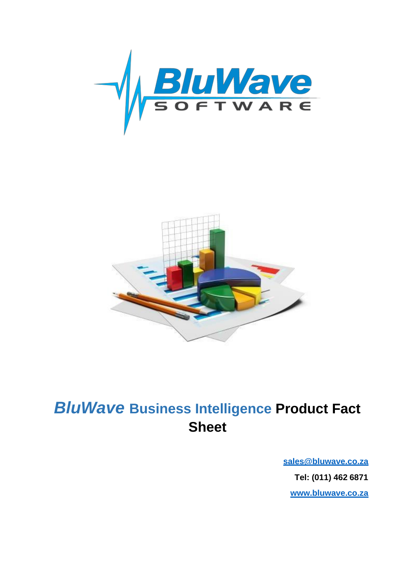



# *BluWave* **Business Intelligence Product Fact Sheet**

**[sales@bluwave.co.za](mailto:sales@bluwave.co.za) Tel: (011) 462 6871 [www.bluwave.co.za](http://www.bluwave.co.za/)**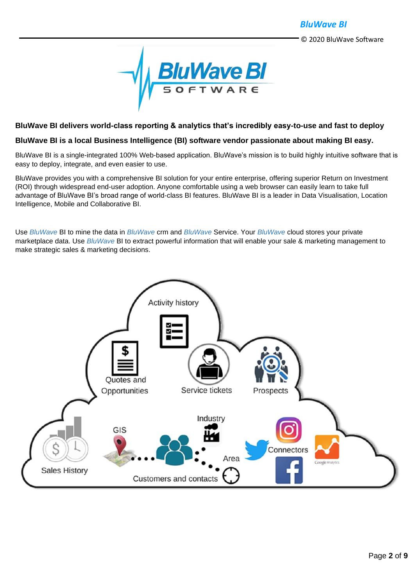

#### **BluWave BI delivers world-class reporting & analytics that's incredibly easy-to-use and fast to deploy**

#### **BluWave BI is a local Business Intelligence (BI) software vendor passionate about making BI easy.**

BluWave BI is a single-integrated 100% Web-based application. BluWave's mission is to build highly intuitive software that is easy to deploy, integrate, and even easier to use.

BluWave provides you with a comprehensive BI solution for your entire enterprise, offering superior Return on Investment (ROI) through widespread end-user adoption. Anyone comfortable using a web browser can easily learn to take full advantage of BluWave BI's broad range of world-class BI features. BluWave BI is a leader in Data Visualisation, Location Intelligence, Mobile and Collaborative BI.

Use *BluWave* BI to mine the data in *BluWave* crm and *BluWave* Service. Your *BluWave* cloud stores your private marketplace data. Use *BluWave* BI to extract powerful information that will enable your sale & marketing management to make strategic sales & marketing decisions.

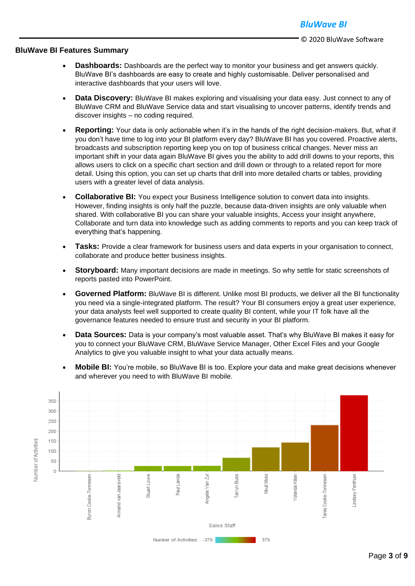#### **BluWave BI Features Summary**

- **Dashboards:** Dashboards are the perfect way to monitor your business and get answers quickly. BluWave BI's dashboards are easy to create and highly customisable. Deliver personalised and interactive dashboards that your users will love.
- **Data Discovery:** BluWave BI makes exploring and visualising your data easy. Just connect to any of BluWave CRM and BluWave Service data and start visualising to uncover patterns, identify trends and discover insights – no coding required.
- **Reporting:** Your data is only actionable when it's in the hands of the right decision-makers. But, what if you don't have time to log into your BI platform every day? BluWave BI has you covered. Proactive alerts, broadcasts and subscription reporting keep you on top of business critical changes. Never miss an important shift in your data again BluWave BI gives you the ability to add drill downs to your reports, this allows users to click on a specific chart section and drill down or through to a related report for more detail. Using this option, you can set up charts that drill into more detailed charts or tables, providing users with a greater level of data analysis.
- **Collaborative BI:** You expect your Business Intelligence solution to convert data into insights. However, finding insights is only half the puzzle, because data-driven insights are only valuable when shared. With collaborative BI you can share your valuable insights, Access your insight anywhere, Collaborate and turn data into knowledge such as adding comments to reports and you can keep track of everything that's happening.
- **Tasks:** Provide a clear framework for business users and data experts in your organisation to connect, collaborate and produce better business insights.
- **Storyboard:** Many important decisions are made in meetings. So why settle for static screenshots of reports pasted into PowerPoint.
- **Governed Platform:** BluWave BI is different. Unlike most BI products, we deliver all the BI functionality you need via a single-integrated platform. The result? Your BI consumers enjoy a great user experience, your data analysts feel well supported to create quality BI content, while your IT folk have all the governance features needed to ensure trust and security in your BI platform.
- **Data Sources:** Data is your company's most valuable asset. That's why BluWave BI makes it easy for you to connect your BluWave CRM, BluWave Service Manager, Other Excel Files and your Google Analytics to give you valuable insight to what your data actually means.
- **Mobile BI:** You're mobile, so BluWave BI is too. Explore your data and make great decisions whenever and wherever you need to with BluWave BI mobile.

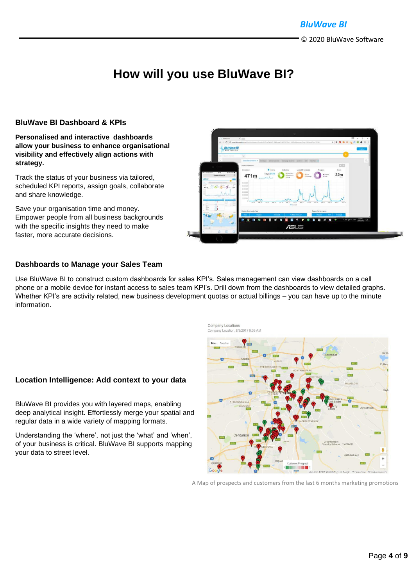# **How will you use BluWave BI?**

#### **BluWave BI Dashboard & KPIs**

#### **Personalised and interactive dashboards allow your business to enhance organisational visibility and effectively align actions with strategy.**

Track the status of your business via tailored, scheduled KPI reports, assign goals, collaborate and share knowledge.

Save your organisation time and money. Empower people from all business backgrounds with the specific insights they need to make faster, more accurate decisions.



#### **Dashboards to Manage your Sales Team**

Use BluWave BI to construct custom dashboards for sales KPI's. Sales management can view dashboards on a cell phone or a mobile device for instant access to sales team KPI's. Drill down from the dashboards to view detailed graphs. Whether KPI's are activity related, new business development quotas or actual billings – you can have up to the minute information.



#### **Location Intelligence: Add context to your data**

BluWave BI provides you with layered maps, enabling deep analytical insight. Effortlessly merge your spatial and regular data in a wide variety of mapping formats.

Understanding the 'where', not just the 'what' and 'when', of your business is critical. BluWave BI supports mapping your data to street level.

A Map of prospects and customers from the last 6 months marketing promotions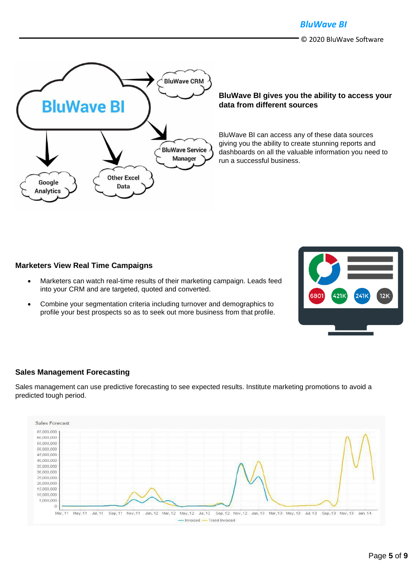*BluWave BI*

© 2020 BluWave Software



#### **BluWave BI gives you the ability to access your data from different sources**

BluWave BI can access any of these data sources giving you the ability to create stunning reports and dashboards on all the valuable information you need to run a successful business.

#### **Marketers View Real Time Campaigns**

- Marketers can watch real-time results of their marketing campaign. Leads feed into your CRM and are targeted, quoted and converted.
- Combine your segmentation criteria including turnover and demographics to profile your best prospects so as to seek out more business from that profile.

# $12K$

#### **Sales Management Forecasting**

Sales management can use predictive forecasting to see expected results. Institute marketing promotions to avoid a predicted tough period.

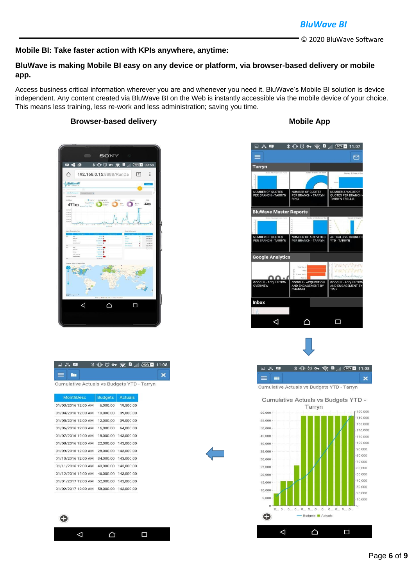#### *BluWave BI*

© 2020 BluWave Software

#### **Mobile BI: Take faster action with KPIs anywhere, anytime:**

#### **BluWave is making Mobile BI easy on any device or platform, via browser-based delivery or mobile app.**

Access business critical information wherever you are and whenever you need it. BluWave's Mobile BI solution is device independent. Any content created via BluWave BI on the Web is instantly accessible via the mobile device of your choice. This means less training, less re-work and less administration; saving you time.

#### **Browser-based delivery Mobile App Mobile App**



| 日首里        |                                            |  |
|------------|--------------------------------------------|--|
| $\equiv$ m |                                            |  |
|            | Cumulative Actuals vs Budgets YTD - Tarryn |  |

| <b>MonthDesc</b>    | <b>Budgets</b> | <b>Actuals</b>       |
|---------------------|----------------|----------------------|
| 01/03/2016 12:00 AM | 6.000.00       | 19,500.00            |
| 01/04/2016 12:00 AM | 10,000.00      | 39,000.00            |
| 01/05/2016 12:00 AM | 12,000.00      | 39,000.00            |
| 01/06/2016 12:00 AM | 16,000.00      | 64,000.00            |
| 01/07/2016 12:00 AM | 18,000.00      | 143,000.00           |
| 01/08/2016 12:00 AM |                | 22,000.00 143,000.00 |
| 01/09/2016 12:00 AM |                | 28,000.00 143,000.00 |
| 01/10/2016 12:00 AM |                | 34,000.00 143,000.00 |
| 01/11/2016 12:00 AM |                | 40,000.00 143,000.00 |
| 01/12/2016 12:00 AM | 46,000.00      | 143,000.00           |
| 01/01/2017 12:00 AM |                | 52,000.00 143,000.00 |
| 01/02/2017 12:00 AM |                | 58,000.00 143,000.00 |



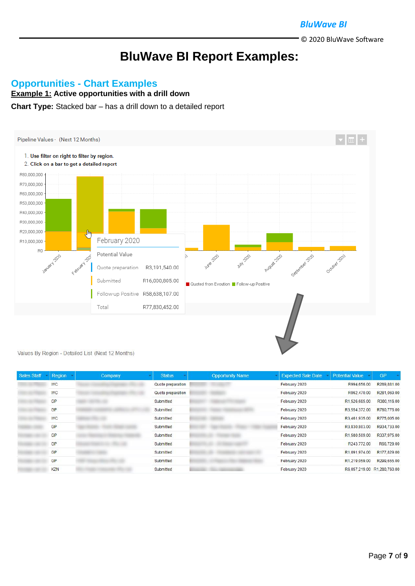#### *BluWave BI*

© 2020 BluWave Software

# **BluWave BI Report Examples:**

#### **Opportunities - Chart Examples**

**Example 1: Active opportunities with a drill down**

#### **Chart Type:** Stacked bar – has a drill down to a detailed report



Values By Region - Detailed List (Next 12 Months)

| <b>Sales Staff</b> | Region     | Company | <b>Status</b>     | <b>Opportunity Name</b> | <b>Expected Sale Date</b> | <b>Potential Value</b>      | <b>GP</b>    |
|--------------------|------------|---------|-------------------|-------------------------|---------------------------|-----------------------------|--------------|
|                    | <b>WC</b>  |         | Quote preparation |                         | February 2020             | R994,656.00                 | R289,881.00  |
|                    | <b>WC</b>  |         | Quote preparation |                         | February 2020             | R962.470.00                 | R281,069.00  |
|                    | GP         |         | Submitted         |                         | February 2020             | R1.526.685.00               | R380, 116.00 |
|                    | GP         |         | Submitted         |                         | February 2020             | R3.554.372.00               | R780,776.00  |
|                    | <b>WC</b>  |         | Submitted         |                         | February 2020             | R3,461,935.00               | R775,005.00  |
|                    | <b>GP</b>  |         | Submitted         |                         | February 2020             | R3.830,803.00               | R934,733.00  |
|                    | GP         |         | Submitted         |                         | February 2020             | R1,580,509.00               | R337.975.00  |
|                    | GP         |         | Submitted         |                         | February 2020             | R243.772.00                 | R66,729.00   |
|                    | GP         |         | Submitted         |                         | February 2020             | R1.091.974.00               | R177,829.00  |
|                    | <b>GP</b>  |         | Submitted         |                         | February 2020             | R1.219.059.00               | R299,655.00  |
|                    | <b>KZN</b> |         | Submitted         |                         | February 2020             | R6,057,219.00 R1,280,760.00 |              |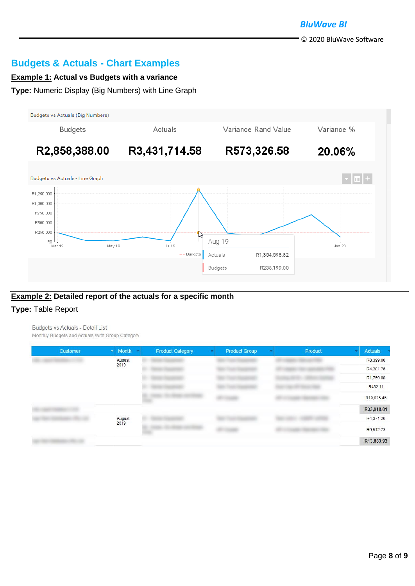### **Budgets & Actuals - Chart Examples**

#### **Example 1: Actual vs Budgets with a variance**

**Type:** Numeric Display (Big Numbers) with Line Graph



#### **Example 2: Detailed report of the actuals for a specific month**

#### **Type:** Table Report

Budgets vs Actuals - Detail List Monthly Budgets and Actuals With Group Category

| Customer | Month -<br>회   | <b>Product Category</b> | <b>Product Group</b> | Product | <b>Actuals</b><br>$\mathbf{w}$ |
|----------|----------------|-------------------------|----------------------|---------|--------------------------------|
|          | August         |                         |                      |         | R8,399.00                      |
|          | 2019           |                         |                      |         | R4,281.76                      |
|          |                |                         |                      |         | R1,759.68                      |
|          |                |                         |                      |         | R452.11                        |
|          |                |                         |                      |         | R19,025.46                     |
|          | August<br>2019 |                         |                      |         | R33,918.01                     |
|          |                |                         |                      |         | R4,371.20                      |
|          |                |                         |                      |         | R9,512.73                      |
|          |                |                         |                      |         | R13,883.93                     |